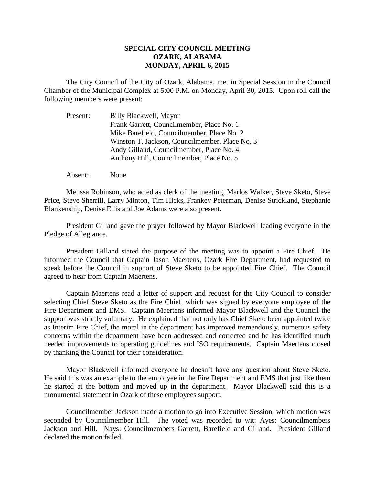## **SPECIAL CITY COUNCIL MEETING OZARK, ALABAMA MONDAY, APRIL 6, 2015**

The City Council of the City of Ozark, Alabama, met in Special Session in the Council Chamber of the Municipal Complex at 5:00 P.M. on Monday, April 30, 2015. Upon roll call the following members were present:

| Present: | Billy Blackwell, Mayor                         |
|----------|------------------------------------------------|
|          | Frank Garrett, Councilmember, Place No. 1      |
|          | Mike Barefield, Councilmember, Place No. 2     |
|          | Winston T. Jackson, Councilmember, Place No. 3 |
|          | Andy Gilland, Councilmember, Place No. 4       |
|          | Anthony Hill, Councilmember, Place No. 5       |

Absent: None

Melissa Robinson, who acted as clerk of the meeting, Marlos Walker, Steve Sketo, Steve Price, Steve Sherrill, Larry Minton, Tim Hicks, Frankey Peterman, Denise Strickland, Stephanie Blankenship, Denise Ellis and Joe Adams were also present.

President Gilland gave the prayer followed by Mayor Blackwell leading everyone in the Pledge of Allegiance.

President Gilland stated the purpose of the meeting was to appoint a Fire Chief. He informed the Council that Captain Jason Maertens, Ozark Fire Department, had requested to speak before the Council in support of Steve Sketo to be appointed Fire Chief. The Council agreed to hear from Captain Maertens.

Captain Maertens read a letter of support and request for the City Council to consider selecting Chief Steve Sketo as the Fire Chief, which was signed by everyone employee of the Fire Department and EMS. Captain Maertens informed Mayor Blackwell and the Council the support was strictly voluntary. He explained that not only has Chief Sketo been appointed twice as Interim Fire Chief, the moral in the department has improved tremendously, numerous safety concerns within the department have been addressed and corrected and he has identified much needed improvements to operating guidelines and ISO requirements. Captain Maertens closed by thanking the Council for their consideration.

Mayor Blackwell informed everyone he doesn't have any question about Steve Sketo. He said this was an example to the employee in the Fire Department and EMS that just like them he started at the bottom and moved up in the department. Mayor Blackwell said this is a monumental statement in Ozark of these employees support.

Councilmember Jackson made a motion to go into Executive Session, which motion was seconded by Councilmember Hill. The voted was recorded to wit: Ayes: Councilmembers Jackson and Hill. Nays: Councilmembers Garrett, Barefield and Gilland. President Gilland declared the motion failed.